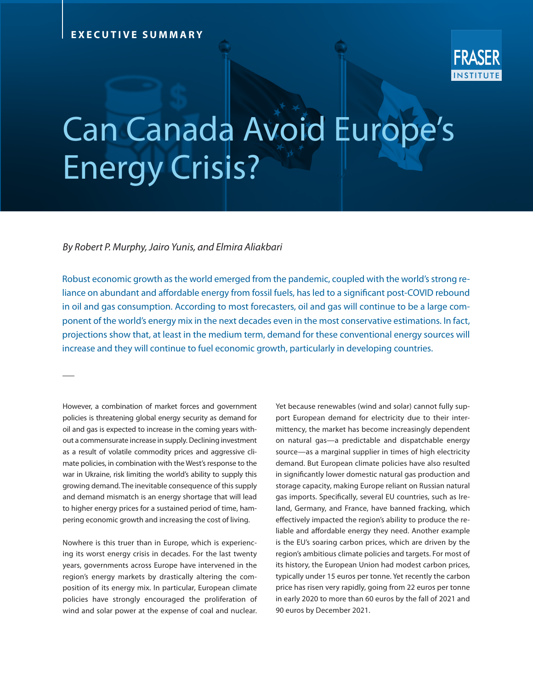## Can Canada Avoid Europe's Energy Crisis?

*By Robert P. Murphy, Jairo Yunis, and Elmira Aliakbari*

Robust economic growth as the world emerged from the pandemic, coupled with the world's strong reliance on abundant and affordable energy from fossil fuels, has led to a significant post-COVID rebound in oil and gas consumption. According to most forecasters, oil and gas will continue to be a large component of the world's energy mix in the next decades even in the most conservative estimations. In fact, projections show that, at least in the medium term, demand for these conventional energy sources will increase and they will continue to fuel economic growth, particularly in developing countries.

However, a combination of market forces and government policies is threatening global energy security as demand for oil and gas is expected to increase in the coming years without a commensurate increase in supply. Declining investment as a result of volatile commodity prices and aggressive climate policies, in combination with the West's response to the war in Ukraine, risk limiting the world's ability to supply this growing demand. The inevitable consequence of this supply and demand mismatch is an energy shortage that will lead to higher energy prices for a sustained period of time, hampering economic growth and increasing the cost of living.

Nowhere is this truer than in Europe, which is experiencing its worst energy crisis in decades. For the last twenty years, governments across Europe have intervened in the region's energy markets by drastically altering the composition of its energy mix. In particular, European climate policies have strongly encouraged the proliferation of wind and solar power at the expense of coal and nuclear. Yet because renewables (wind and solar) cannot fully support European demand for electricity due to their intermittency, the market has become increasingly dependent on natural gas—a predictable and dispatchable energy source—as a marginal supplier in times of high electricity demand. But European climate policies have also resulted in significantly lower domestic natural gas production and storage capacity, making Europe reliant on Russian natural gas imports. Specifically, several EU countries, such as Ireland, Germany, and France, have banned fracking, which effectively impacted the region's ability to produce the reliable and affordable energy they need. Another example is the EU's soaring carbon prices, which are driven by the region's ambitious climate policies and targets. For most of its history, the European Union had modest carbon prices, typically under 15 euros per tonne. Yet recently the carbon price has risen very rapidly, going from 22 euros per tonne in early 2020 to more than 60 euros by the fall of 2021 and 90 euros by December 2021.